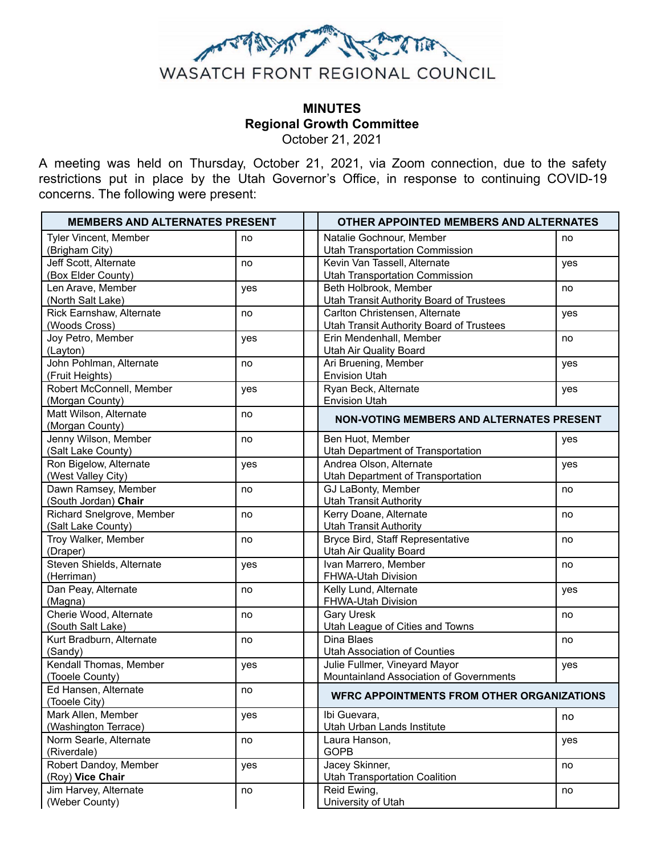

# **MINUTES Regional Growth Committee**

October 21, 2021

A meeting was held on Thursday, October 21, 2021, via Zoom connection, due to the safety restrictions put in place by the Utah Governor's Office, in response to continuing COVID-19 concerns. The following were present:

| <b>MEMBERS AND ALTERNATES PRESENT</b> |     | <b>OTHER APPOINTED MEMBERS AND ALTERNATES</b>           |  |
|---------------------------------------|-----|---------------------------------------------------------|--|
| Tyler Vincent, Member                 | no  | Natalie Gochnour, Member<br>no                          |  |
| (Brigham City)                        |     | <b>Utah Transportation Commission</b>                   |  |
| Jeff Scott, Alternate                 | no  | Kevin Van Tassell, Alternate<br>yes                     |  |
| (Box Elder County)                    |     | <b>Utah Transportation Commission</b>                   |  |
| Len Arave, Member                     | yes | Beth Holbrook, Member<br>no                             |  |
| (North Salt Lake)                     |     | <b>Utah Transit Authority Board of Trustees</b>         |  |
| Rick Earnshaw, Alternate              | no  | Carlton Christensen, Alternate<br>yes                   |  |
| (Woods Cross)                         |     | <b>Utah Transit Authority Board of Trustees</b>         |  |
| Joy Petro, Member                     | yes | Erin Mendenhall, Member<br>no                           |  |
| (Layton)<br>John Pohlman, Alternate   |     | Utah Air Quality Board<br>Ari Bruening, Member          |  |
| (Fruit Heights)                       | no  | yes<br><b>Envision Utah</b>                             |  |
| Robert McConnell, Member              | yes | Ryan Beck, Alternate<br>yes                             |  |
| (Morgan County)                       |     | <b>Envision Utah</b>                                    |  |
| Matt Wilson, Alternate                | no  |                                                         |  |
| (Morgan County)                       |     | <b>NON-VOTING MEMBERS AND ALTERNATES PRESENT</b>        |  |
| Jenny Wilson, Member                  | no  | Ben Huot, Member<br>yes                                 |  |
| (Salt Lake County)                    |     | Utah Department of Transportation                       |  |
| Ron Bigelow, Alternate                | yes | Andrea Olson, Alternate<br>yes                          |  |
| (West Valley City)                    |     | Utah Department of Transportation                       |  |
| Dawn Ramsey, Member                   | no  | GJ LaBonty, Member<br>no                                |  |
| (South Jordan) Chair                  |     | <b>Utah Transit Authority</b>                           |  |
| Richard Snelgrove, Member             | no  | Kerry Doane, Alternate<br>no                            |  |
| (Salt Lake County)                    |     | <b>Utah Transit Authority</b>                           |  |
| Troy Walker, Member                   | no  | Bryce Bird, Staff Representative<br>no                  |  |
| (Draper)                              |     | Utah Air Quality Board                                  |  |
| Steven Shields, Alternate             | yes | Ivan Marrero, Member<br>no                              |  |
| (Herriman)                            |     | FHWA-Utah Division                                      |  |
| Dan Peay, Alternate                   | no  | Kelly Lund, Alternate<br>yes                            |  |
| (Magna)                               |     | FHWA-Utah Division                                      |  |
| Cherie Wood, Alternate                | no  | <b>Gary Uresk</b><br>no                                 |  |
| (South Salt Lake)                     |     | Utah League of Cities and Towns                         |  |
| Kurt Bradburn, Alternate              | no  | Dina Blaes<br>no<br><b>Utah Association of Counties</b> |  |
| (Sandy)<br>Kendall Thomas, Member     |     | Julie Fullmer, Vineyard Mayor                           |  |
| (Tooele County)                       | yes | yes<br>Mountainland Association of Governments          |  |
| Ed Hansen, Alternate                  | no  |                                                         |  |
| (Tooele City)                         |     | <b>WFRC APPOINTMENTS FROM OTHER ORGANIZATIONS</b>       |  |
| Mark Allen, Member                    | yes | Ibi Guevara,<br>no                                      |  |
| (Washington Terrace)                  |     | Utah Urban Lands Institute                              |  |
| Norm Searle, Alternate                | no  | Laura Hanson,<br>yes                                    |  |
| (Riverdale)                           |     | <b>GOPB</b>                                             |  |
| Robert Dandoy, Member                 | yes | Jacey Skinner,<br>no                                    |  |
| (Roy) Vice Chair                      |     | <b>Utah Transportation Coalition</b>                    |  |
| Jim Harvey, Alternate                 | no  | Reid Ewing,<br>no                                       |  |
| (Weber County)                        |     | University of Utah                                      |  |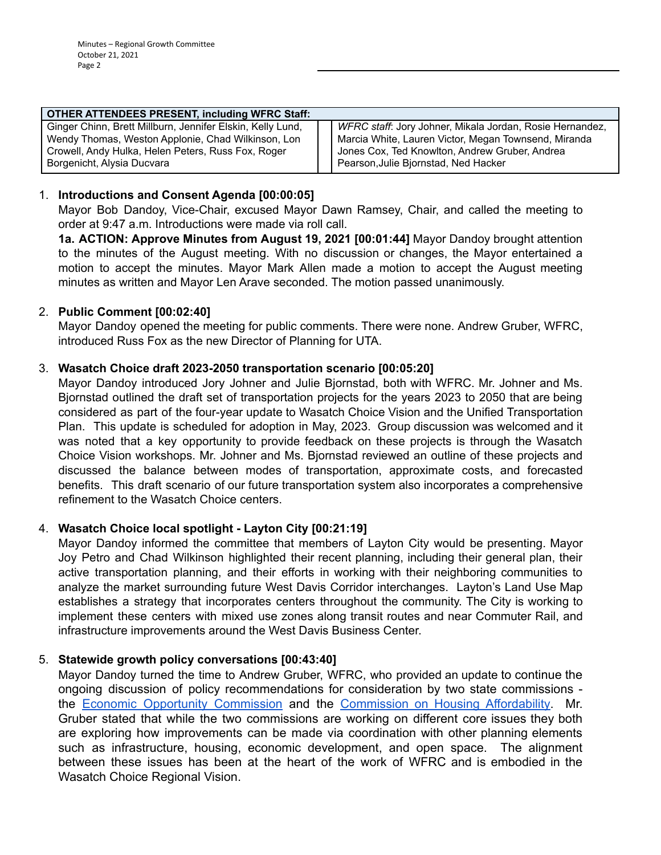| <b>OTHER ATTENDEES PRESENT, including WFRC Staff:</b>      |  |                                                          |  |  |
|------------------------------------------------------------|--|----------------------------------------------------------|--|--|
| Ginger Chinn, Brett Millburn, Jennifer Elskin, Kelly Lund, |  | WFRC staff: Jory Johner, Mikala Jordan, Rosie Hernandez, |  |  |
| Wendy Thomas, Weston Applonie, Chad Wilkinson, Lon         |  | Marcia White, Lauren Victor, Megan Townsend, Miranda     |  |  |
| Crowell, Andy Hulka, Helen Peters, Russ Fox, Roger         |  | Jones Cox, Ted Knowlton, Andrew Gruber, Andrea           |  |  |
| Borgenicht, Alysia Ducvara                                 |  | Pearson, Julie Bjornstad, Ned Hacker                     |  |  |

## 1. **Introductions and Consent Agenda [00:00:05]**

Mayor Bob Dandoy, Vice-Chair, excused Mayor Dawn Ramsey, Chair, and called the meeting to order at 9:47 a.m. Introductions were made via roll call.

**1a. ACTION: Approve Minutes from August 19, 2021 [00:01:44]** Mayor Dandoy brought attention to the minutes of the August meeting. With no discussion or changes, the Mayor entertained a motion to accept the minutes. Mayor Mark Allen made a motion to accept the August meeting minutes as written and Mayor Len Arave seconded. The motion passed unanimously.

## 2. **Public Comment [00:02:40]**

Mayor Dandoy opened the meeting for public comments. There were none. Andrew Gruber, WFRC, introduced Russ Fox as the new Director of Planning for UTA.

## 3. **Wasatch Choice draft 2023-2050 transportation scenario [00:05:20]**

Mayor Dandoy introduced Jory Johner and Julie Bjornstad, both with WFRC. Mr. Johner and Ms. Bjornstad outlined the draft set of transportation projects for the years 2023 to 2050 that are being considered as part of the four-year update to Wasatch Choice Vision and the Unified Transportation Plan. This update is scheduled for adoption in May, 2023. Group discussion was welcomed and it was noted that a key opportunity to provide feedback on these projects is through the Wasatch Choice Vision workshops. Mr. Johner and Ms. Bjornstad reviewed an outline of these projects and discussed the balance between modes of transportation, approximate costs, and forecasted benefits. This draft scenario of our future transportation system also incorporates a comprehensive refinement to the Wasatch Choice centers.

## 4. **Wasatch Choice local spotlight - Layton City [00:21:19]**

Mayor Dandoy informed the committee that members of Layton City would be presenting. Mayor Joy Petro and Chad Wilkinson highlighted their recent planning, including their general plan, their active transportation planning, and their efforts in working with their neighboring communities to analyze the market surrounding future West Davis Corridor interchanges. Layton's Land Use Map establishes a strategy that incorporates centers throughout the community. The City is working to implement these centers with mixed use zones along transit routes and near Commuter Rail, and infrastructure improvements around the West Davis Business Center.

## 5. **Statewide growth policy conversations [00:43:40]**

Mayor Dandoy turned the time to Andrew Gruber, WFRC, who provided an update to continue the ongoing discussion of policy recommendations for consideration by two state commissions the [Economic Opportunity Commission](https://business.utah.gov/about/boards/unified-economic-opportunity-commission/) and the [Commission on Housing Affordability.](https://www.utah.gov/pmn/sitemap/publicbody/6423.html) Mr. Gruber stated that while the two commissions are working on different core issues they both are exploring how improvements can be made via coordination with other planning elements such as infrastructure, housing, economic development, and open space. The alignment between these issues has been at the heart of the work of WFRC and is embodied in the Wasatch Choice Regional Vision.